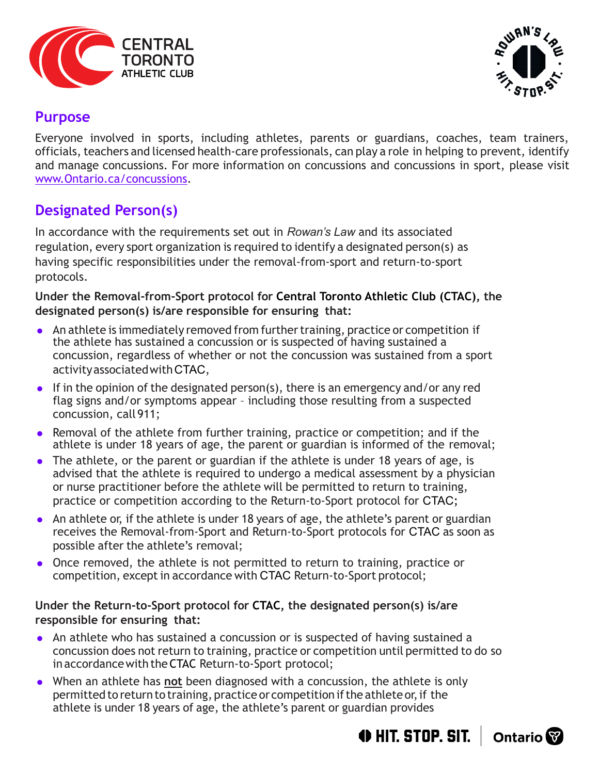



## **Purpose**

Everyone involved in sports, including athletes, parents or guardians, coaches, team trainers, officials, teachers and licensed health-care professionals, can play a role in helping to prevent, identify and manage concussions. For more information on concussions and concussions in sport, please visit [www.Ontario.ca/concussions.](http://www.Ontario.ca/concussions)

# **Designated Person(s)**

In accordance with the requirements set out in *Rowan's Law* and its associated regulation, every sport organization is required to identify a designated person(s) as having specific responsibilities under the removal-from-sport and return-to-sport protocols.

**Under the Removal-from-Sport protocol for Central Toronto Athletic Club (CTAC), the designated person(s) is/are responsible for ensuring that:**

- An athlete is immediately removed from further training, practice or competition if the athlete has sustained a concussion or is suspected of having sustained a concussion, regardless of whether or not the concussion was sustained from a sport activityassociatedwithCTAC,
- If in the opinion of the designated person(s), there is an emergency and/or any red flag signs and/or symptoms appear – including those resulting from a suspected concussion, call 911;
- Removal of the athlete from further training, practice or competition; and if the athlete is under 18 years of age, the parent or guardian is informed of the removal;
- The athlete, or the parent or guardian if the athlete is under 18 years of age, is advised that the athlete is required to undergo a medical assessment by a physician or nurse practitioner before the athlete will be permitted to return to training, practice or competition according to the Return-to-Sport protocol for CTAC;
- An athlete or, if the athlete is under 18 years of age, the athlete's parent or guardian receives the Removal-from-Sport and Return-to-Sport protocols for CTAC as soon as possible after the athlete's removal;
- Once removed, the athlete is not permitted to return to training, practice or competition, except in accordance with CTAC Return-to-Sport protocol;

#### **Under the Return-to-Sport protocol for CTAC, the designated person(s) is/are responsible for ensuring that:**

- An athlete who has sustained a concussion or is suspected of having sustained a concussion does not return to training, practice or competition until permitted to do so in accordancewith theCTAC Return-to-Sport protocol;
- When an athlete has **not** been diagnosed with a concussion, the athlete is only permitted to return to training, practice or competition if the athlete or, if the athlete is under 18 years of age, the athlete's parent or guardian provides

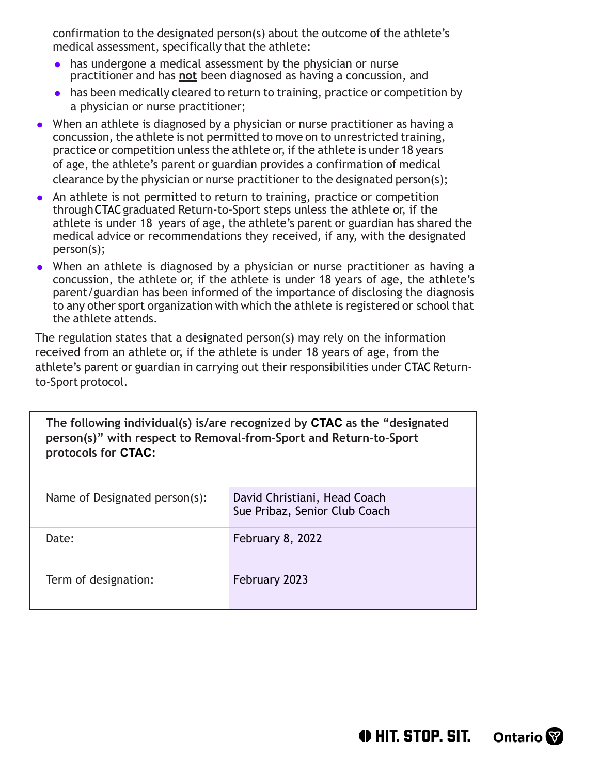confirmation to the designated person(s) about the outcome of the athlete's medical assessment, specifically that the athlete:

- has undergone a medical assessment by the physician or nurse practitioner and has **not** been diagnosed as having a concussion, and
- has been medically cleared to return to training, practice or competition by a physician or nurse practitioner;
- When an athlete is diagnosed by a physician or nurse practitioner as having a concussion, the athlete is not permitted to move on to unrestricted training, practice or competition unless the athlete or, if the athlete is under 18 years of age, the athlete's parent or guardian provides a confirmation of medical clearance by the physician or nurse practitioner to the designated person(s);
- An athlete is not permitted to return to training, practice or competition throughCTACgraduated Return-to-Sport steps unless the athlete or, if the athlete is under 18 years of age, the athlete's parent or guardian has shared the medical advice or recommendations they received, if any, with the designated person(s);
- When an athlete is diagnosed by a physician or nurse practitioner as having a concussion, the athlete or, if the athlete is under 18 years of age, the athlete's parent/guardian has been informed of the importance of disclosing the diagnosis to any other sport organization with which the athlete is registered or school that the athlete attends.

The regulation states that a designated person(s) may rely on the information received from an athlete or, if the athlete is under 18 years of age, from the athlete's parent or guardian in carrying out their responsibilities under CTAC Returnto-Sport protocol.

**The following individual(s) is/are recognized by CTAC as the "designated person(s)" with respect to Removal-from-Sport and Return-to-Sport protocols for CTAC:**

| Name of Designated person(s): | David Christiani, Head Coach<br>Sue Pribaz, Senior Club Coach |
|-------------------------------|---------------------------------------------------------------|
| Date:                         | February 8, 2022                                              |
| Term of designation:          | February 2023                                                 |

 $\bigoplus$  HIT. STOP. SIT.  $\bigcup$  Ontario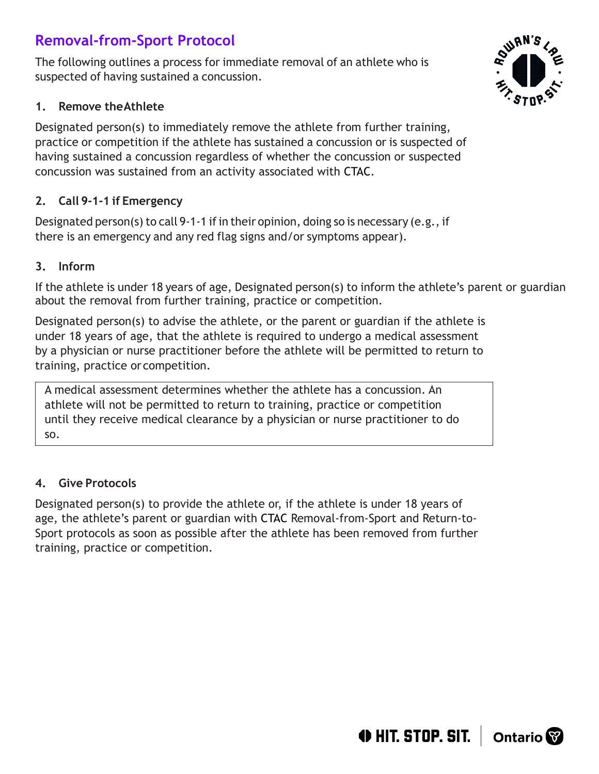# **Removal-from-Sport Protocol**

The following outlines a process for immediate removal of an athlete who is suspected of having sustained a concussion.

#### **1. Remove theAthlete**

Designated person(s) to immediately remove the athlete from further training, practice or competition if the athlete has sustained a concussion or is suspected of having sustained a concussion regardless of whether the concussion or suspected concussion was sustained from an activity associated with CTAC.

## **2. Call 9-1-1 if Emergency**

Designated person(s) to call 9-1-1 if in their opinion, doing so is necessary (e.g., if there is an emergency and any red flag signs and/or symptoms appear).

### **3. Inform**

If the athlete is under 18 years of age, Designated person(s) to inform the athlete's parent or guardian about the removal from further training, practice or competition.

Designated person(s) to advise the athlete, or the parent or guardian if the athlete is under 18 years of age, that the athlete is required to undergo a medical assessment by a physician or nurse practitioner before the athlete will be permitted to return to training, practice or competition.

A medical assessment determines whether the athlete has a concussion. An athlete will not be permitted to return to training, practice or competition until they receive medical clearance by a physician or nurse practitioner to do so.

## **4. Give Protocols**

Designated person(s) to provide the athlete or, if the athlete is under 18 years of age, the athlete's parent or guardian with CTAC Removal-from-Sport and Return-to-Sport protocols as soon as possible after the athlete has been removed from further training, practice or competition.



 $\bigoplus$  HIT. STOP. SIT.  $\bigcup$  Ontario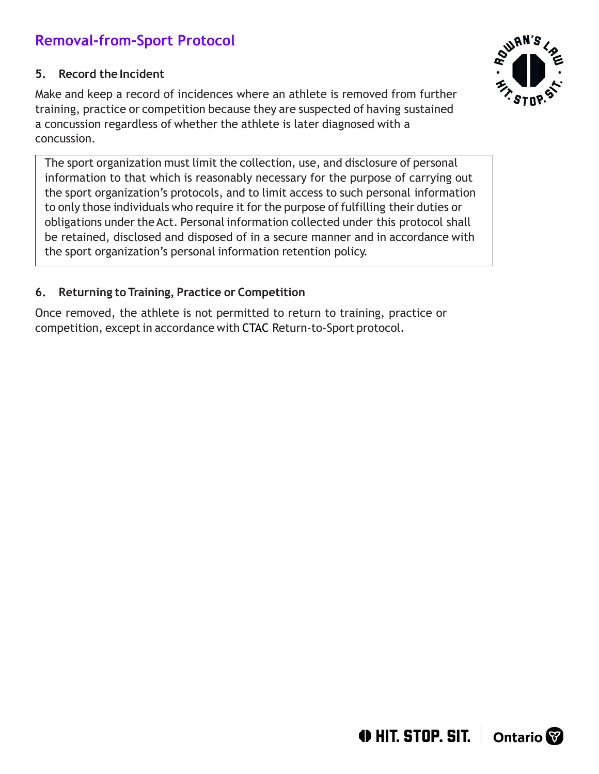# **Removal-from-Sport Protocol**

#### **5.** Record the Incident

Make and keep a record of incidences where an athlete is removed from further training, practice or competition because they are suspected of having sustained a concussion regardless of whether the athlete is later diagnosed with a concussion.

The sport organization must limit the collection, use, and disclosure of personal information to that which is reasonably necessary for the purpose of carrying out the sport organization's protocols, and to limit access to such personal information to only those individuals who require it forthe purpose of fulfilling their duties or obligations under the Act. Personal information collected under this protocol shall be retained, disclosed and disposed of in a secure manner and in accordance with the sport organization's personal information retention policy.

#### **6. Returning to Training, Practice or Competition**

Once removed, the athlete is not permitted to return to training, practice or competition, except in accordance with CTAC Return-to-Sport protocol.



 $\bigoplus$  HIT. STOP. SIT.  $\bigcup$  Ontario  $\bigotimes$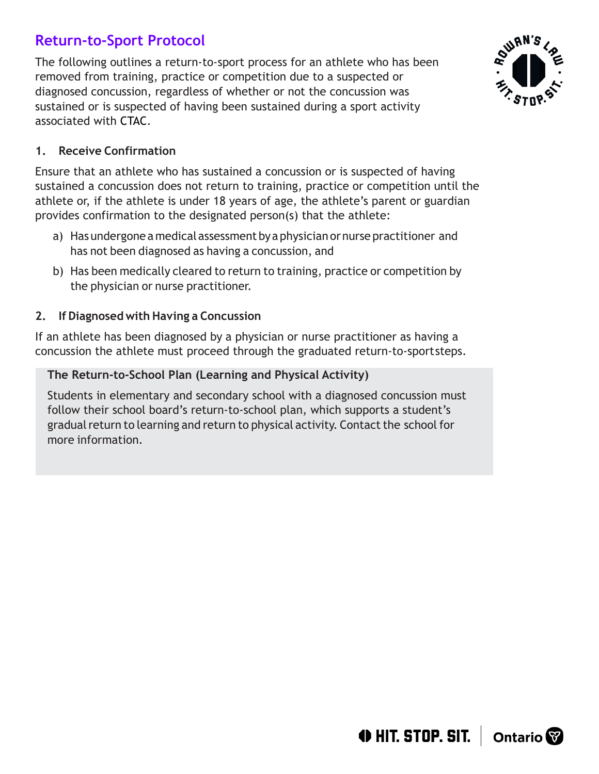## **Return-to-Sport Protocol**

The following outlines a return-to-sport process for an athlete who has been removed from training, practice or competition due to a suspected or diagnosed concussion, regardless of whether or not the concussion was sustained or is suspected of having been sustained during a sport activity associated with CTAC.



#### **1. Receive Confirmation**

Ensure that an athlete who has sustained a concussion or is suspected of having sustained a concussion does not return to training, practice or competition until the athlete or, if the athlete is under 18 years of age, the athlete's parent or guardian provides confirmation to the designated person(s) that the athlete:

- a) Hasundergone a medicalassessmentbyaphysician ornurse practitioner and has not been diagnosed as having a concussion, and
- b) Has been medically cleared to return to training, practice or competition by the physician or nurse practitioner.

#### **2. If Diagnosed with Having a Concussion**

If an athlete has been diagnosed by a physician or nurse practitioner as having a concussion the athlete must proceed through the graduated return-to-sportsteps.

#### **The Return-to-School Plan (Learning and Physical Activity)**

Students in elementary and secondary school with a diagnosed concussion must follow their school board's return-to-school plan, which supports a student's gradual return to learning and return to physical activity. Contact the school for more information.

 $\bigoplus$  HIT. STOP. SIT.  $\bigcup$  Ontario  $\bigotimes$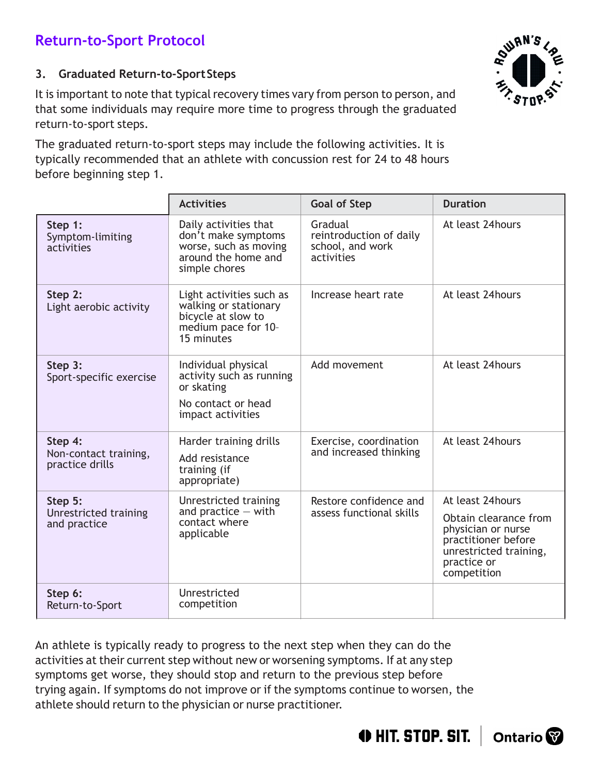## **Return-to-Sport Protocol**

#### **3. Graduated Return-to-SportSteps**

It is important to note that typical recovery times vary from person to person, and that some individuals may require more time to progress through the graduated return-to-sport steps.

The graduated return-to-sport steps may include the following activities. It is typically recommended that an athlete with concussion rest for 24 to 48 hours before beginning step 1.

|                                                     | <b>Activities</b>                                                                                             | <b>Goal of Step</b>                                                  | <b>Duration</b>                                                                                                                                |
|-----------------------------------------------------|---------------------------------------------------------------------------------------------------------------|----------------------------------------------------------------------|------------------------------------------------------------------------------------------------------------------------------------------------|
| Step 1:<br>Symptom-limiting<br>activities           | Daily activities that<br>don't make symptoms<br>worse, such as moving<br>around the home and<br>simple chores | Gradual<br>reintroduction of daily<br>school, and work<br>activities | At least 24hours                                                                                                                               |
| Step 2:<br>Light aerobic activity                   | Light activities such as<br>walking or stationary<br>bicycle at slow to<br>medium pace for 10-<br>15 minutes  | Increase heart rate                                                  | At least 24hours                                                                                                                               |
| Step 3:<br>Sport-specific exercise                  | Individual physical<br>activity such as running<br>or skating<br>No contact or head<br>impact activities      | Add movement                                                         | At least 24 hours                                                                                                                              |
| Step 4:<br>Non-contact training,<br>practice drills | Harder training drills<br>Add resistance<br>training (if<br>appropriate)                                      | Exercise, coordination<br>and increased thinking                     | At least 24hours                                                                                                                               |
| Step 5:<br>Unrestricted training<br>and practice    | Unrestricted training<br>and practice $-$ with<br>contact where<br>applicable                                 | Restore confidence and<br>assess functional skills                   | At least 24hours<br>Obtain clearance from<br>physician or nurse<br>practitioner before<br>unrestricted training,<br>practice or<br>competition |
| Step 6:<br>Return-to-Sport                          | Unrestricted<br>competition                                                                                   |                                                                      |                                                                                                                                                |

An athlete is typically ready to progress to the next step when they can do the activities at their current step without new or worsening symptoms. If at any step symptoms get worse, they should stop and return to the previous step before trying again. If symptoms do not improve or if the symptoms continue to worsen, the athlete should return to the physician or nurse practitioner.



**O HIT. STOP. SIT.** Ontario